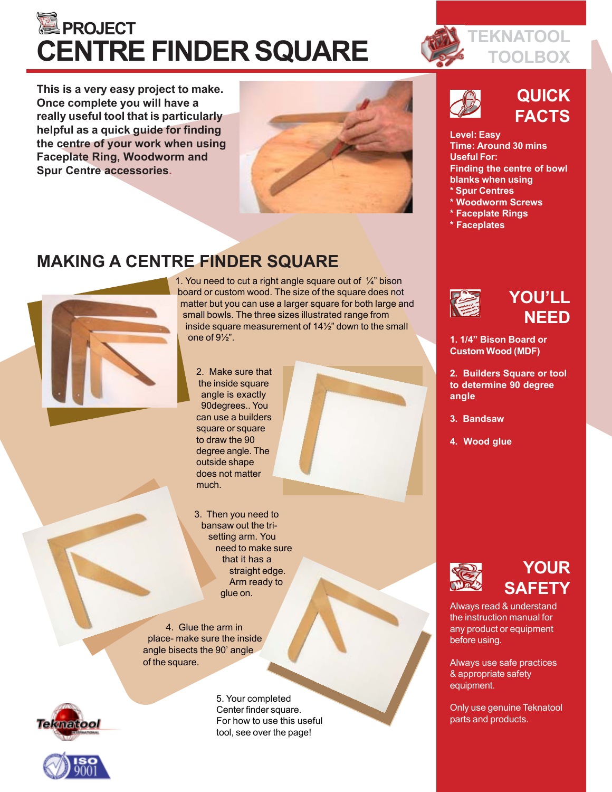# **EXPROJECT CENTRE FINDER SQUARE**

**This is a very easy project to make. Once complete you will have a really useful tool that is particularly helpful as a quick guide for finding the centre of your work when using Faceplate Ring, Woodworm and Spur Centre accessories.**



## **MAKING A CENTRE FINDER SQUARE**



1. You need to cut a right angle square out of  $\frac{1}{4}$ " bison board or custom wood. The size of the square does not matter but you can use a larger square for both large and small bowls. The three sizes illustrated range from inside square measurement of 14½" down to the small one of 9½".

2. Make sure that the inside square angle is exactly 90degrees.. You can use a builders square or square to draw the 90 degree angle. The outside shape does not matter much.



4. Glue the arm in place- make sure the inside angle bisects the 90' angle of the square.





5. Your completed Center finder square. For how to use this useful tool, see over the page!



## **QUICK FACTS**

### **Level: Easy Time: Around 30 mins Useful For: Finding the centre of bowl blanks when using \* Spur Centres**

- **\* Woodworm Screws**
- **\* Faceplate Rings**
- **\* Faceplates**



## **YOU'LL NEED**

**1. 1/4" Bison Board or Custom Wood (MDF)**

**2. Builders Square or tool to determine 90 degree angle**

- **3. Bandsaw**
- **4. Wood glue**



## **YOUR SAFETY**

Always read & understand the instruction manual for any product or equipment before using.

Always use safe practices & appropriate safety equipment.

Only use genuine Teknatool parts and products.